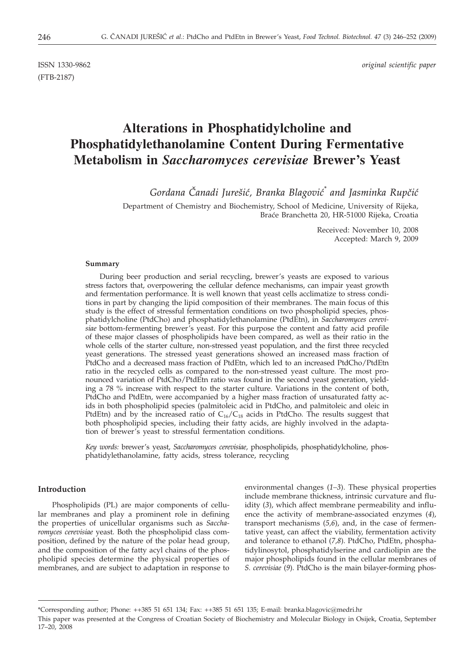(FTB-2187)

ISSN 1330-9862 *original scientific paper*

# **Alterations in Phosphatidylcholine and Phosphatidylethanolamine Content During Fermentative Metabolism in** *Saccharomyces cerevisiae* **Brewer's Yeast**

*Gordana ^anadi Jure{i}, Branka Blagovi}\* and Jasminka Rup~i}*

Department of Chemistry and Biochemistry, School of Medicine, University of Rijeka, Bra}e Branchetta 20, HR-51000 Rijeka, Croatia

> Received: November 10, 2008 Accepted: March 9, 2009

# **Summary**

During beer production and serial recycling, brewer's yeasts are exposed to various stress factors that, overpowering the cellular defence mechanisms, can impair yeast growth and fermentation performance. It is well known that yeast cells acclimatize to stress conditions in part by changing the lipid composition of their membranes. The main focus of this study is the effect of stressful fermentation conditions on two phospholipid species, phosphatidylcholine (PtdCho) and phosphatidylethanolamine (PtdEtn), in *Saccharomyces cerevisiae* bottom-fermenting brewer's yeast. For this purpose the content and fatty acid profile of these major classes of phospholipids have been compared, as well as their ratio in the whole cells of the starter culture, non-stressed yeast population, and the first three recycled yeast generations. The stressed yeast generations showed an increased mass fraction of PtdCho and a decreased mass fraction of PtdEtn, which led to an increased PtdCho/PtdEtn ratio in the recycled cells as compared to the non-stressed yeast culture. The most pronounced variation of PtdCho/PtdEtn ratio was found in the second yeast generation, yielding a 78 % increase with respect to the starter culture. Variations in the content of both, PtdCho and PtdEtn, were accompanied by a higher mass fraction of unsaturated fatty acids in both phospholipid species (palmitoleic acid in PtdCho, and palmitoleic and oleic in PtdEtn) and by the increased ratio of  $C_{16}/C_{18}$  acids in PtdCho. The results suggest that both phospholipid species, including their fatty acids, are highly involved in the adaptation of brewer's yeast to stressful fermentation conditions.

*Key words:* brewer's yeast, *Saccharomyces cerevisiae,* phospholipids, phosphatidylcholine, phosphatidylethanolamine, fatty acids, stress tolerance, recycling

# **Introduction**

Phospholipids (PL) are major components of cellular membranes and play a prominent role in defining the properties of unicellular organisms such as *Saccharomyces cerevisiae* yeast. Both the phospholipid class composition, defined by the nature of the polar head group, and the composition of the fatty acyl chains of the phospholipid species determine the physical properties of membranes, and are subject to adaptation in response to

environmental changes (*1–3*). These physical properties include membrane thickness, intrinsic curvature and fluidity (*3*), which affect membrane permeability and influence the activity of membrane-associated enzymes (*4*), transport mechanisms (*5,6*), and, in the case of fermentative yeast, can affect the viability, fermentation activity and tolerance to ethanol (*7,8*). PtdCho, PtdEtn, phosphatidylinosytol, phosphatidylserine and cardiolipin are the major phospholipids found in the cellular membranes of *S. cerevisiae* (*9*). PtdCho is the main bilayer-forming phos-

<sup>\*</sup>Corresponding author; Phone: ++385 51 651 134; Fax: ++385 51 651 135; E-mail: branka.blagovic@medri.hr

This paper was presented at the Congress of Croatian Society of Biochemistry and Molecular Biology in Osijek, Croatia, September 17–20, 2008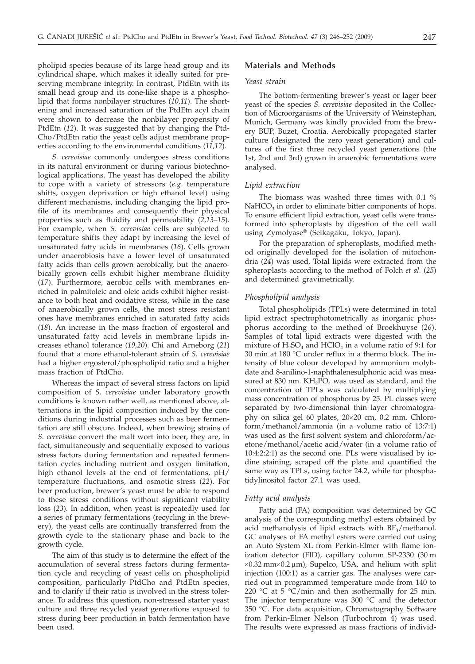pholipid species because of its large head group and its cylindrical shape, which makes it ideally suited for preserving membrane integrity. In contrast, PtdEtn with its small head group and its cone-like shape is a phospholipid that forms nonbilayer structures (*10,11*). The shortening and increased saturation of the PtdEtn acyl chain were shown to decrease the nonbilayer propensity of PtdEtn (*12*). It was suggested that by changing the Ptd-Cho/PtdEtn ratio the yeast cells adjust membrane properties according to the environmental conditions (*11,12*).

*S. cerevisiae* commonly undergoes stress conditions in its natural environment or during various biotechnological applications. The yeast has developed the ability to cope with a variety of stressors (*e.g*. temperature shifts, oxygen deprivation or high ethanol level) using different mechanisms, including changing the lipid profile of its membranes and consequently their physical properties such as fluidity and permeability (*2,13–15*). For example, when *S. cerevisiae* cells are subjected to temperature shifts they adapt by increasing the level of unsaturated fatty acids in membranes (*16*). Cells grown under anaerobiosis have a lower level of unsaturated fatty acids than cells grown aerobically, but the anaerobically grown cells exhibit higher membrane fluidity (*17*). Furthermore, aerobic cells with membranes enriched in palmitoleic and oleic acids exhibit higher resistance to both heat and oxidative stress, while in the case of anaerobically grown cells, the most stress resistant ones have membranes enriched in saturated fatty acids (*18*). An increase in the mass fraction of ergosterol and unsaturated fatty acid levels in membrane lipids increases ethanol tolerance (*19,20*). Chi and Arneborg (*21*) found that a more ethanol-tolerant strain of *S. cerevisiae* had a higher ergosterol/phospholipid ratio and a higher mass fraction of PtdCho.

Whereas the impact of several stress factors on lipid composition of *S. cerevisiae* under laboratory growth conditions is known rather well, as mentioned above, alternations in the lipid composition induced by the conditions during industrial processes such as beer fermentation are still obscure. Indeed, when brewing strains of *S. cerevisiae* convert the malt wort into beer, they are, in fact, simultaneously and sequentially exposed to various stress factors during fermentation and repeated fermentation cycles including nutrient and oxygen limitation, high ethanol levels at the end of fermentations, pH/ temperature fluctuations, and osmotic stress (*22*). For beer production, brewer's yeast must be able to respond to these stress conditions without significant viability loss (*23*). In addition, when yeast is repeatedly used for a series of primary fermentations (recycling in the brewery), the yeast cells are continually transferred from the growth cycle to the stationary phase and back to the growth cycle.

The aim of this study is to determine the effect of the accumulation of several stress factors during fermentation cycle and recycling of yeast cells on phospholipid composition, particularly PtdCho and PtdEtn species, and to clarify if their ratio is involved in the stress tolerance. To address this question, non-stressed starter yeast culture and three recycled yeast generations exposed to stress during beer production in batch fermentation have been used.

# **Materials and Methods**

#### *Yeast strain*

The bottom-fermenting brewer's yeast or lager beer yeast of the species *S. cerevisiae* deposited in the Collection of Microorganisms of the University of Weinstephan, Munich, Germany was kindly provided from the brewery BUP, Buzet, Croatia. Aerobically propagated starter culture (designated the zero yeast generation) and cultures of the first three recycled yeast generations (the 1st, 2nd and 3rd) grown in anaerobic fermentations were analysed.

#### *Lipid extraction*

The biomass was washed three times with 0.1 %  $NaHCO<sub>3</sub>$  in order to eliminate bitter components of hops. To ensure efficient lipid extraction, yeast cells were transformed into spheroplasts by digestion of the cell wall using Zymolyase® (Seikagaku, Tokyo, Japan).

For the preparation of spheroplasts, modified method originally developed for the isolation of mitochondria (*24*) was used. Total lipids were extracted from the spheroplasts according to the method of Folch *et al.* (*25*) and determined gravimetrically.

#### *Phospholipid analysis*

Total phospholipids (TPLs) were determined in total lipid extract spectrophotometrically as inorganic phosphorus according to the method of Broekhuyse (*26*). Samples of total lipid extracts were digested with the mixture of  $H_2SO_4$  and  $HClO_4$  in a volume ratio of 9:1 for 30 min at 180 °C under reflux in a thermo block. The intensity of blue colour developed by ammonium molybdate and 8-anilino-1-naphthalenesulphonic acid was measured at 830 nm.  $KH_2PO_4$  was used as standard, and the concentration of TPLs was calculated by multiplying mass concentration of phosphorus by 25. PL classes were separated by two-dimensional thin layer chromatography on silica gel 60 plates,  $20 \times 20$  cm, 0.2 mm. Chloroform/methanol/ammonia (in a volume ratio of 13:7:1) was used as the first solvent system and chloroform/acetone/methanol/acetic acid/water (in a volume ratio of 10:4:2:2:1) as the second one. PLs were visualised by iodine staining, scraped off the plate and quantified the same way as TPLs, using factor 24.2, while for phosphatidylinositol factor 27.1 was used.

# *Fatty acid analysis*

Fatty acid (FA) composition was determined by GC analysis of the corresponding methyl esters obtained by acid methanolysis of lipid extracts with  $BF_3/methanol$ . GC analyses of FA methyl esters were carried out using an Auto System XL from Perkin-Elmer with flame ionization detector (FID), capillary column SP-2330 (30 m  $\times$ 0.32 mm $\times$ 0.2 µm), Supelco, USA, and helium with split injection (100:1) as a carrier gas. The analyses were carried out in programmed temperature mode from 140 to 220 °C at 5 °C/min and then isothermally for 25 min. The injector temperature was 300 °C and the detector 350 °C. For data acquisition, Chromatography Software from Perkin-Elmer Nelson (Turbochrom 4) was used. The results were expressed as mass fractions of individ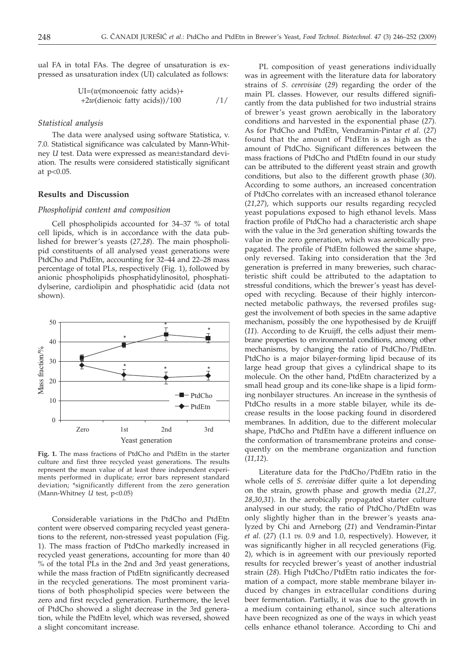ual FA in total FAs. The degree of unsaturation is expressed as unsaturation index (UI) calculated as follows:

$$
UI=(w(monoenoic fatty acids)++2w(dienoic fatty acids))/100
$$
 /1/

#### *Statistical analysis*

The data were analysed using software Statistica, v. 7.0. Statistical significance was calculated by Mann-Whitney *U* test. Data were expressed as mean±standard deviation. The results were considered statistically significant at p<0.05.

## **Results and Discussion**

# *Phospholipid content and composition*

Cell phospholipids accounted for 34–37 % of total cell lipids, which is in accordance with the data published for brewer's yeasts (*27,28*). The main phospholipid constituents of all analysed yeast generations were PtdCho and PtdEtn, accounting for 32–44 and 22–28 mass percentage of total PLs, respectively (Fig. 1), followed by anionic phospholipids phosphatidylinositol, phosphatidylserine, cardiolipin and phosphatidic acid (data not shown).



**Fig. 1.** The mass fractions of PtdCho and PtdEtn in the starter culture and first three recycled yeast generations. The results represent the mean value of at least three independent experiments performed in duplicate; error bars represent standard deviation; \*significantly different from the zero generation (Mann-Whitney *U* test, p<0.05)

Considerable variations in the PtdCho and PtdEtn content were observed comparing recycled yeast generations to the referent, non-stressed yeast population (Fig. 1). The mass fraction of PtdCho markedly increased in recycled yeast generations, accounting for more than 40 % of the total PLs in the 2nd and 3rd yeast generations, while the mass fraction of PtdEtn significantly decreased in the recycled generations. The most prominent variations of both phospholipid species were between the zero and first recycled generation. Furthermore, the level of PtdCho showed a slight decrease in the 3rd generation, while the PtdEtn level, which was reversed, showed a slight concomitant increase.

PL composition of yeast generations individually was in agreement with the literature data for laboratory strains of *S. cerevisiae* (*29*) regarding the order of the main PL classes. However, our results differed significantly from the data published for two industrial strains of brewer's yeast grown aerobically in the laboratory conditions and harvested in the exponential phase (*27*). As for PtdCho and PtdEtn, Vendramin-Pintar *et al*. (*27*) found that the amount of PtdEtn is as high as the amount of PtdCho. Significant differences between the mass fractions of PtdCho and PtdEtn found in our study can be attributed to the different yeast strain and growth conditions, but also to the different growth phase (*30*). According to some authors, an increased concentration of PtdCho correlates with an increased ethanol tolerance (*21,27*), which supports our results regarding recycled yeast populations exposed to high ethanol levels. Mass fraction profile of PtdCho had a characteristic arch shape with the value in the 3rd generation shifting towards the value in the zero generation, which was aerobically propagated. The profile of PtdEtn followed the same shape, only reversed. Taking into consideration that the 3rd generation is preferred in many breweries, such characteristic shift could be attributed to the adaptation to stressful conditions, which the brewer's yeast has developed with recycling. Because of their highly interconnected metabolic pathways, the reversed profiles suggest the involvement of both species in the same adaptive mechanism, possibly the one hypothesised by de Kruijff (*11*). According to de Kruijff, the cells adjust their membrane properties to environmental conditions, among other mechanisms, by changing the ratio of PtdCho/PtdEtn. PtdCho is a major bilayer-forming lipid because of its large head group that gives a cylindrical shape to its molecule. On the other hand, PtdEtn characterized by a small head group and its cone-like shape is a lipid forming nonbilayer structures. An increase in the synthesis of PtdCho results in a more stable bilayer, while its decrease results in the loose packing found in disordered membranes. In addition, due to the different molecular shape, PtdCho and PtdEtn have a different influence on the conformation of transmembrane proteins and consequently on the membrane organization and function (*11,12*).

Literature data for the PtdCho/PtdEtn ratio in the whole cells of *S. cerevisiae* differ quite a lot depending on the strain, growth phase and growth media (*21,27, 28,30,31*). In the aerobically propagated starter culture analysed in our study, the ratio of PtdCho/PtdEtn was only slightly higher than in the brewer's yeasts analyzed by Chi and Arneborg (*21*) and Vendramin-Pintar *et al*. (*27*) (1.1 *vs*. 0.9 and 1.0, respectively). However, it was significantly higher in all recycled generations (Fig. 2), which is in agreement with our previously reported results for recycled brewer's yeast of another industrial strain (*28*). High PtdCho/PtdEtn ratio indicates the formation of a compact, more stable membrane bilayer induced by changes in extracellular conditions during beer fermentation. Partially, it was due to the growth in a medium containing ethanol, since such alterations have been recognized as one of the ways in which yeast cells enhance ethanol tolerance. According to Chi and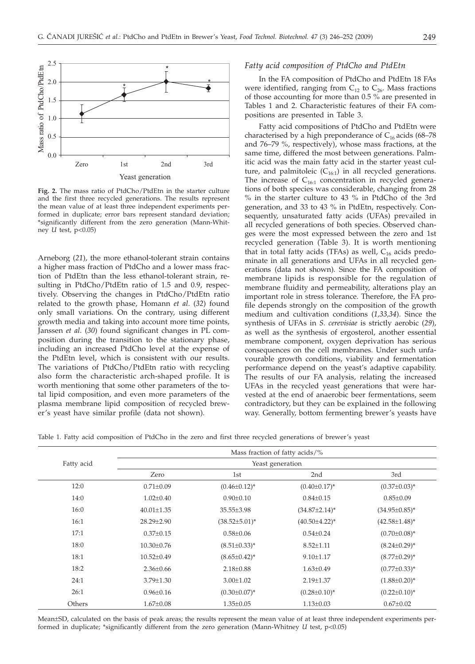

**Fig. 2.** The mass ratio of PtdCho/PtdEtn in the starter culture and the first three recycled generations. The results represent the mean value of at least three independent experiments performed in duplicate; error bars represent standard deviation; \*significantly different from the zero generation (Mann-Whitney *U* test, p<0.05)

Arneborg (*21*), the more ethanol-tolerant strain contains a higher mass fraction of PtdCho and a lower mass fraction of PtdEtn than the less ethanol-tolerant strain, resulting in PtdCho/PtdEtn ratio of 1.5 and 0.9, respectively. Observing the changes in PtdCho/PtdEtn ratio related to the growth phase, Homann *et al*. (*32*) found only small variations. On the contrary, using different growth media and taking into account more time points, Janssen *et al*. (*30*) found significant changes in PL composition during the transition to the stationary phase, including an increased PtdCho level at the expense of the PtdEtn level, which is consistent with our results. The variations of PtdCho/PtdEtn ratio with recycling also form the characteristic arch-shaped profile. It is worth mentioning that some other parameters of the total lipid composition, and even more parameters of the plasma membrane lipid composition of recycled brewer's yeast have similar profile (data not shown).

# *Fatty acid composition of PtdCho and PtdEtn*

In the FA composition of PtdCho and PtdEtn 18 FAs were identified, ranging from  $C_{12}$  to  $C_{26}$ . Mass fractions of those accounting for more than 0.5 % are presented in Tables 1 and 2. Characteristic features of their FA compositions are presented in Table 3.

Fatty acid compositions of PtdCho and PtdEtn were characterised by a high preponderance of  $C_{16}$  acids (68–78 and 76–79 %, respectively), whose mass fractions, at the same time, differed the most between generations. Palmitic acid was the main fatty acid in the starter yeast culture, and palmitoleic  $(C_{16:1})$  in all recycled generations. The increase of  $C_{16:1}$  concentration in recycled generations of both species was considerable, changing from 28 % in the starter culture to 43 % in PtdCho of the 3rd generation, and 33 to 43 % in PtdEtn, respectively. Consequently, unsaturated fatty acids (UFAs) prevailed in all recycled generations of both species. Observed changes were the most expressed between the zero and 1st recycled generation (Table 3). It is worth mentioning that in total fatty acids (TFAs) as well,  $C_{16}$  acids predominate in all generations and UFAs in all recycled generations (data not shown). Since the FA composition of membrane lipids is responsible for the regulation of membrane fluidity and permeability, alterations play an important role in stress tolerance. Therefore, the FA profile depends strongly on the composition of the growth medium and cultivation conditions (*1,33,34*). Since the synthesis of UFAs in *S. cerevisiae* is strictly aerobic (*29*), as well as the synthesis of ergosterol, another essential membrane component, oxygen deprivation has serious consequences on the cell membranes. Under such unfavourable growth conditions, viability and fermentation performance depend on the yeast's adaptive capability. The results of our FA analysis, relating the increased UFAs in the recycled yeast generations that were harvested at the end of anaerobic beer fermentations, seem contradictory, but they can be explained in the following way. Generally, bottom fermenting brewer's yeasts have

Table 1. Fatty acid composition of PtdCho in the zero and first three recycled generations of brewer's yeast

|            | Mass fraction of fatty acids/%<br>Yeast generation |                      |                      |                      |  |  |  |
|------------|----------------------------------------------------|----------------------|----------------------|----------------------|--|--|--|
| Fatty acid |                                                    |                      |                      |                      |  |  |  |
|            | Zero                                               | 1st                  | 2 <sub>nd</sub>      | 3rd                  |  |  |  |
| 12:0       | $0.71 \pm 0.09$                                    | $(0.46 \pm 0.12)^*$  | $(0.40 \pm 0.17)^*$  | $(0.37 \pm 0.03)^*$  |  |  |  |
| 14:0       | $1.02 \pm 0.40$                                    | $0.90 \pm 0.10$      | $0.84 \pm 0.15$      | $0.85 \pm 0.09$      |  |  |  |
| 16:0       | $40.01 \pm 1.35$                                   | $35.55 \pm 3.98$     | $(34.87 \pm 2.14)^*$ | $(34.95 \pm 0.85)^*$ |  |  |  |
| 16:1       | $28.29 \pm 2.90$                                   | $(38.52 \pm 5.01)^*$ | $(40.50 \pm 4.22)^*$ | $(42.58 \pm 1.48)^*$ |  |  |  |
| 17:1       | $0.37 \pm 0.15$                                    | $0.58 \pm 0.06$      | $0.54 \pm 0.24$      | $(0.70 \pm 0.08)^*$  |  |  |  |
| 18:0       | $10.30 \pm 0.76$                                   | $(8.51\pm0.33)^*$    | $8.52 \pm 1.11$      | $(8.24 \pm 0.29)^*$  |  |  |  |
| 18:1       | $10.52 \pm 0.49$                                   | $(8.65 \pm 0.42)^*$  | $9.10 \pm 1.17$      | $(8.77 \pm 0.29)^*$  |  |  |  |
| 18:2       | $2.36 \pm 0.66$                                    | $2.18 \pm 0.88$      | $1.63 \pm 0.49$      | $(0.77 \pm 0.33)^*$  |  |  |  |
| 24:1       | $3.79 \pm 1.30$                                    | $3.00 \pm 1.02$      | $2.19 \pm 1.37$      | $(1.88 \pm 0.20)^*$  |  |  |  |
| 26:1       | $0.96 \pm 0.16$                                    | $(0.30 \pm 0.07)^*$  | $(0.28 \pm 0.10)^*$  | $(0.22 \pm 0.10)^*$  |  |  |  |
| Others     | $1.67 \pm 0.08$                                    | $1.35 \pm 0.05$      | $1.13 \pm 0.03$      | $0.67 \pm 0.02$      |  |  |  |

Mean±SD, calculated on the basis of peak areas; the results represent the mean value of at least three independent experiments performed in duplicate; \*significantly different from the zero generation (Mann-Whitney *U* test, p<0.05)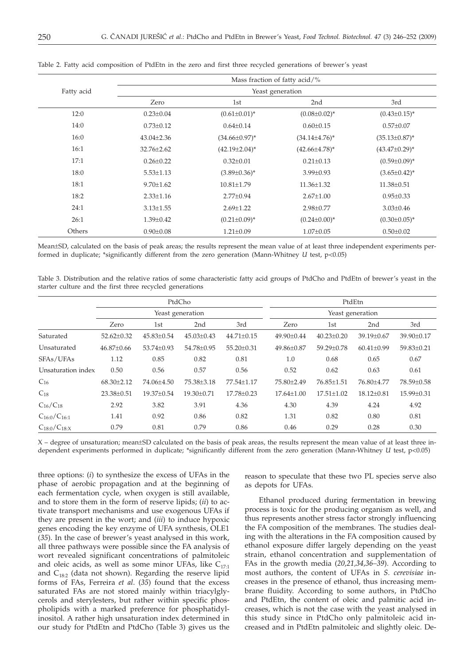|            | Mass fraction of fatty acid/% |                      |                      |                      |  |  |  |
|------------|-------------------------------|----------------------|----------------------|----------------------|--|--|--|
| Fatty acid | Yeast generation              |                      |                      |                      |  |  |  |
|            | Zero                          | 1st                  | 2nd                  | 3rd                  |  |  |  |
| 12:0       | $0.23 \pm 0.04$               | $(0.61 \pm 0.01)^*$  | $(0.08 \pm 0.02)^*$  | $(0.43 \pm 0.15)^*$  |  |  |  |
| 14:0       | $0.73 \pm 0.12$               | $0.64 \pm 0.14$      | $0.60 \pm 0.15$      | $0.57 \pm 0.07$      |  |  |  |
| 16:0       | $43.04 \pm 2.36$              | $(34.66 \pm 0.97)^*$ | $(34.14 \pm 4.76)^*$ | $(35.13 \pm 0.87)^*$ |  |  |  |
| 16:1       | $32.76 \pm 2.62$              | $(42.19 \pm 2.04)^*$ | $(42.66 \pm 4.78)^*$ | $(43.47 \pm 0.29)^*$ |  |  |  |
| 17:1       | $0.26 \pm 0.22$               | $0.32 \pm 0.01$      | $0.21 \pm 0.13$      | $(0.59 \pm 0.09)^*$  |  |  |  |
| 18:0       | $5.53 \pm 1.13$               | $(3.89 \pm 0.36)^*$  | $3.99 \pm 0.93$      | $(3.65 \pm 0.42)^*$  |  |  |  |
| 18:1       | $9.70 \pm 1.62$               | $10.81 \pm 1.79$     | $11.36 \pm 1.32$     | $11.38 \pm 0.51$     |  |  |  |
| 18:2       | $2.33 \pm 1.16$               | $2.77 \pm 0.94$      | $2.67 \pm 1.00$      | $0.95 \pm 0.33$      |  |  |  |
| 24:1       | $3.13 \pm 1.55$               | $2.69 \pm 1.22$      | $2.98 \pm 0.77$      | $3.03 \pm 0.46$      |  |  |  |
| 26:1       | $1.39 \pm 0.42$               | $(0.21 \pm 0.09)^*$  | $(0.24 \pm 0.00)^*$  | $(0.30 \pm 0.05)^*$  |  |  |  |
| Others     | $0.90 \pm 0.08$               | $1.21 \pm 0.09$      | $1.07 \pm 0.05$      | $0.50 \pm 0.02$      |  |  |  |

Table 2. Fatty acid composition of PtdEtn in the zero and first three recycled generations of brewer's yeast

Mean±SD, calculated on the basis of peak areas; the results represent the mean value of at least three independent experiments performed in duplicate; \*significantly different from the zero generation (Mann-Whitney *U* test, p<0.05)

Table 3. Distribution and the relative ratios of some characteristic fatty acid groups of PtdCho and PtdEtn of brewer's yeast in the starter culture and the first three recycled generations

|                     | PtdCho<br>Yeast generation |                  |                  | PtdEtn<br>Yeast generation |                  |                  |                  |            |
|---------------------|----------------------------|------------------|------------------|----------------------------|------------------|------------------|------------------|------------|
|                     |                            |                  |                  |                            |                  |                  |                  |            |
|                     | Zero                       | 1st              | 2 <sub>nd</sub>  | 3rd                        | Zero             | 1st              | 2 <sub>nd</sub>  | 3rd        |
| Saturated           | $52.62 \pm 0.32$           | $45.83 \pm 0.54$ | $45.03 \pm 0.43$ | $44.71 \pm 0.15$           | $49.90 \pm 0.44$ | $40.23 \pm 0.20$ | 39.19±0.67       | 39.90±0.17 |
| Unsaturated         | $46.87 \pm 0.66$           | 53.74±0.93       | 54.78±0.95       | 55.20±0.31                 | 49.86±0.87       | 59.29±0.78       | $60.41 \pm 0.99$ | 59.83±0.21 |
| SFAs/UFAs           | 1.12                       | 0.85             | 0.82             | 0.81                       | 1.0              | 0.68             | 0.65             | 0.67       |
| Unsaturation index  | 0.50                       | 0.56             | 0.57             | 0.56                       | 0.52             | 0.62             | 0.63             | 0.61       |
| $C_{16}$            | $68.30 \pm 2.12$           | 74.06±4.50       | 75.38±3.18       | 77.54±1.17                 | 75.80±2.49       | 76.85±1.51       | 76.80±4.77       | 78.59±0.58 |
| $C_{18}$            | 23.38±0.51                 | 19.37±0.54       | 19.30±0.71       | 17.78±0.23                 | $17.64 \pm 1.00$ | $17.51 \pm 1.02$ | $18.12 \pm 0.81$ | 15.99±0.31 |
| $C_{16}/C_{18}$     | 2.92                       | 3.82             | 3.91             | 4.36                       | 4.30             | 4.39             | 4.24             | 4.92       |
| $C_{16:0}/C_{16:1}$ | 1.41                       | 0.92             | 0.86             | 0.82                       | 1.31             | 0.82             | 0.80             | 0.81       |
| $C_{18:0}/C_{18:X}$ | 0.79                       | 0.81             | 0.79             | 0.86                       | 0.46             | 0.29             | 0.28             | 0.30       |

X – degree of unsaturation; mean±SD calculated on the basis of peak areas, the results represent the mean value of at least three independent experiments performed in duplicate; \*significantly different from the zero generation (Mann-Whitney *U* test, p<0.05)

three options: (*i*) to synthesize the excess of UFAs in the phase of aerobic propagation and at the beginning of each fermentation cycle, when oxygen is still available, and to store them in the form of reserve lipids; (*ii*) to activate transport mechanisms and use exogenous UFAs if they are present in the wort; and (*iii*) to induce hypoxic genes encoding the key enzyme of UFA synthesis, OLE1 (*35*). In the case of brewer's yeast analysed in this work, all three pathways were possible since the FA analysis of wort revealed significant concentrations of palmitoleic and oleic acids, as well as some minor UFAs, like  $C_{17:1}$ and  $C_{18:2}$  (data not shown). Regarding the reserve lipid forms of FAs, Ferreira *et al*. (*35*) found that the excess saturated FAs are not stored mainly within triacylglycerols and sterylesters, but rather within specific phospholipids with a marked preference for phosphatidylinositol. A rather high unsaturation index determined in our study for PtdEtn and PtdCho (Table 3) gives us the

reason to speculate that these two PL species serve also as depots for UFAs.

Ethanol produced during fermentation in brewing process is toxic for the producing organism as well, and thus represents another stress factor strongly influencing the FA composition of the membranes. The studies dealing with the alterations in the FA composition caused by ethanol exposure differ largely depending on the yeast strain, ethanol concentration and supplementation of FAs in the growth media (*20,21,34,36–39*). According to most authors, the content of UFAs in *S. cerevisiae* increases in the presence of ethanol, thus increasing membrane fluidity. According to some authors, in PtdCho and PtdEtn, the content of oleic and palmitic acid increases, which is not the case with the yeast analysed in this study since in PtdCho only palmitoleic acid increased and in PtdEtn palmitoleic and slightly oleic. De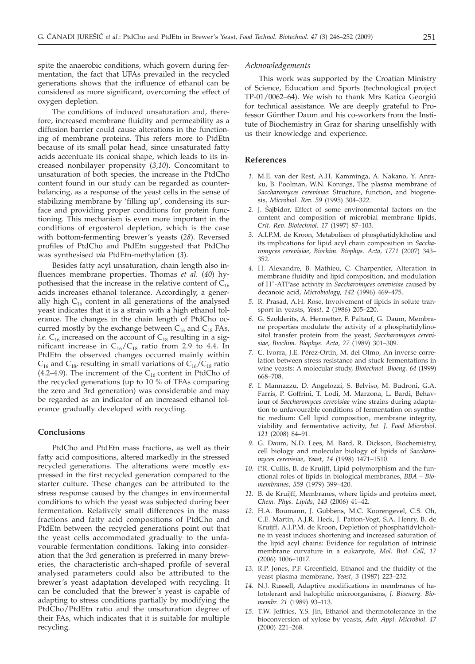spite the anaerobic conditions, which govern during fermentation, the fact that UFAs prevailed in the recycled generations shows that the influence of ethanol can be considered as more significant, overcoming the effect of oxygen depletion.

The conditions of induced unsaturation and, therefore, increased membrane fluidity and permeability as a diffusion barrier could cause alterations in the functioning of membrane proteins. This refers more to PtdEtn because of its small polar head, since unsaturated fatty acids accentuate its conical shape, which leads to its increased nonbilayer propensity (*3,10*). Concomitant to unsaturation of both species, the increase in the PtdCho content found in our study can be regarded as counterbalancing, as a response of the yeast cells in the sense of stabilizing membrane by 'filling up', condensing its surface and providing proper conditions for protein functioning. This mechanism is even more important in the conditions of ergosterol depletion, which is the case with bottom-fermenting brewer's yeasts (*28*). Reversed profiles of PtdCho and PtdEtn suggested that PtdCho was synthesised *via* PtdEtn-methylation (*3*).

Besides fatty acyl unsaturation, chain length also influences membrane properties. Thomas *et al.* (*40*) hypothesised that the increase in the relative content of  $C_{16}$ acids increases ethanol tolerance. Accordingly, a generally high  $C_{16}$  content in all generations of the analysed yeast indicates that it is a strain with a high ethanol tolerance. The changes in the chain length of PtdCho occurred mostly by the exchange between  $C_{16}$  and  $C_{18}$  FAs, *i.e.*  $C_{16}$  increased on the account of  $C_{18}$  resulting in a significant increase in  $C_{16}/C_{18}$  ratio from 2.9 to 4.4. In PtdEtn the observed changes occurred mainly within  $C_{16}$  and  $C_{18}$ , resulting in small variations of  $C_{16}/C_{18}$  ratio (4.2–4.9). The increment of the  $C_{16}$  content in PtdCho of the recycled generations (up to 10 % of TFAs comparing the zero and 3rd generation) was considerable and may be regarded as an indicator of an increased ethanol tolerance gradually developed with recycling.

# **Conclusions**

PtdCho and PtdEtn mass fractions, as well as their fatty acid compositions, altered markedly in the stressed recycled generations. The alterations were mostly expressed in the first recycled generation compared to the starter culture. These changes can be attributed to the stress response caused by the changes in environmental conditions to which the yeast was subjected during beer fermentation. Relatively small differences in the mass fractions and fatty acid compositions of PtdCho and PtdEtn between the recycled generations point out that the yeast cells accommodated gradually to the unfavourable fermentation conditions. Taking into consideration that the 3rd generation is preferred in many breweries, the characteristic arch-shaped profile of several analysed parameters could also be attributed to the brewer's yeast adaptation developed with recycling. It can be concluded that the brewer's yeast is capable of adapting to stress conditions partially by modifying the PtdCho/PtdEtn ratio and the unsaturation degree of their FAs, which indicates that it is suitable for multiple recycling.

#### *Acknowledgements*

This work was supported by the Croatian Ministry of Science, Education and Sports (technological project TP-01/0062–64). We wish to thank Mrs Katica Georgiú for technical assistance. We are deeply grateful to Professor Günther Daum and his co-workers from the Institute of Biochemistry in Graz for sharing unselfishly with us their knowledge and experience.

# **References**

- *1.* M.E. van der Rest, A.H. Kamminga, A. Nakano, Y. Anraku, B. Poolman, W.N. Konings, The plasma membrane of *Saccharomyces cerevisiae*: Structure, function, and biogenesis, *Microbiol. Rev. 59* (1995) 304–322.
- 2. J. Šajbidor, Effect of some environmental factors on the content and composition of microbial membrane lipids, *Crit. Rev. Biotechnol. 17* (1997) 87–103.
- *3.* A.I.P.M. de Kroon, Metabolism of phosphatidylcholine and its implications for lipid acyl chain composition in *Saccharomyces cerevisiae*, *Biochim. Biophys. Acta, 1771* (2007) 343– 352.
- *4.* H. Alexandre, B. Mathieu, C. Charpentier, Alteration in membrane fluidity and lipid composition, and modulation of H+-ATPase activity in *Saccharomyces cerevisiae* caused by decanoic acid, *Microbiology, 142* (1996) 469–475.
- *5.* R. Prasad, A.H. Rose, Involvement of lipids in solute transport in yeasts, *Yeast, 2* (1986) 205–220.
- *6.* G. Szolderits, A. Hermetter, F. Paltauf, G. Daum, Membrane properties modulate the activity of a phosphatidylinositol transfer protein from the yeast, *Saccharomyces cerevisiae*, *Biochim. Biophys. Acta, 27* (1989) 301–309.
- *7.* C. Ivorra, J.E. Pérez-Ortin, M. del Olmo, An inverse correlation between stress resistance and stuck fermentations in wine yeasts: A molecular study, *Biotechnol. Bioeng. 64* (1999) 668–708.
- *8.* I. Mannazzu, D. Angelozzi, S. Belviso, M. Budroni, G.A. Farris, P. Goffrini, T. Lodi, M. Marzona, L. Bardi, Behaviour of *Saccharomyces cerevisiae* wine strains during adaptation to unfavourable conditions of fermentation on synthetic medium: Cell lipid composition, membrane integrity, viability and fermentative activity, *Int. J. Food Microbiol*. *121* (2008) 84–91.
- *9.* G. Daum, N.D. Lees, M. Bard, R. Dickson, Biochemistry, cell biology and molecular biology of lipids of *Saccharomyces cerevisiae*, *Yeast*, *14* (1998) 1471–1510.
- *10.* P.R. Cullis, B. de Kruijff, Lipid polymorphism and the functional roles of lipids in biological membranes, *BBA – Biomembranes, 559* (1979) 399–420.
- *11.* B. de Kruijff, Membranes, where lipids and proteins meet, *Chem. Phys. Lipids*, *143* (2006) 41–42.
- *12.* H.A. Boumann, J. Gubbens, M.C. Koorengevel, C.S. Oh, C.E. Martin, A.J.R. Heck, J. Patton-Vogt, S.A. Henry, B. de Kruijff, A.I.P.M. de Kroon, Depletion of phosphatidylcholine in yeast induces shortening and increased saturation of the lipid acyl chains: Evidence for regulation of intrinsic membrane curvature in a eukaryote, *Mol. Biol. Cell*, *17* (2006) 1006–1017.
- *13.* R.P. Jones, P.F. Greenfield, Ethanol and the fluidity of the yeast plasma membrane, *Yeast, 3* (1987) 223–232.
- *14.* N.J. Russell, Adaptive modifications in membranes of halotolerant and halophilic microorganisms, *J. Bioenerg. Biomembr*. *21* (1989) 93–113.
- *15.* T.W. Jeffries, Y.S. Jin, Ethanol and thermotolerance in the bioconversion of xylose by yeasts, *Adv. Appl. Microbiol*. *47* (2000) 221–268.